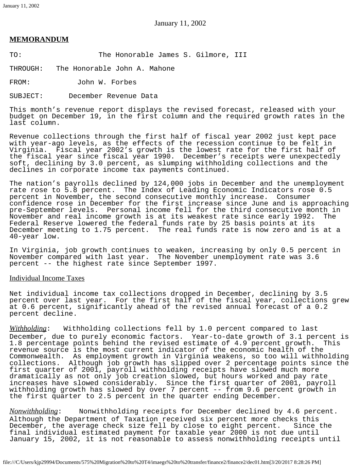January 11, 2002

# **MEMORANDUM**

TO: The Honorable James S. Gilmore, III

THROUGH: The Honorable John A. Mahone

FROM: John W. Forbes

SUBJECT: December Revenue Data

This month's revenue report displays the revised forecast, released with your budget on December 19, in the first column and the required growth rates in the last column.

Revenue collections through the first half of fiscal year 2002 just kept pace with year-ago levels, as the effects of the recession continue to be felt in Virginia. Fiscal year 2002's growth is the lowest rate for the first half of the fiscal year since fiscal year 1990. December's receipts were unexpectedly soft, declining by 3.0 percent, as slumping withholding collections and the declines in corporate income tax payments continued.

The nation's payrolls declined by 124,000 jobs in December and the unemployment rate rose to 5.8 percent. The Index of Leading Economic Indicators rose 0.5 percent in November, the second consecutive monthly increase. Consumer confidence rose in December for the first increase since June and is approaching pre-September levels. Personal income fell for the third consecutive month in November and real income growth is at its weakest rate since early 1992. Federal Reserve lowered the federal funds rate by 25 basis points at its December meeting to 1.75 percent. The real funds rate is now zero and is at a 40-year low.

In Virginia, job growth continues to weaken, increasing by only 0.5 percent in November compared with last year. The November unemployment rate was 3.6 percent -- the highest rate since September 1997.

## Individual Income Taxes

Net individual income tax collections dropped in December, declining by 3.5 percent over last year. For the first half of the fiscal year, collections grew at 0.6 percent, significantly ahead of the revised annual forecast of a 0.2 percent decline.

*Withholding*: Withholding collections fell by 1.0 percent compared to last December, due to purely economic factors. Year-to-date growth of 3.1 percent is<br>1.8 percentage points behind the revised estimate of 4.9 percent growth. This 1.8 percentage points behind the revised estimate of 4.9 percent growth. revenue source is the most current indicator of the economic health of the Commonwealth. As employment growth in Virginia weakens, so too will withholding collections. Although job growth has slipped over 2 percentage points since the first quarter of 2001, payroll withholding receipts have slowed much more dramatically as not only job creation slowed, but hours worked and pay rate increases have slowed considerably. Since the first quarter of 2001, payroll withholding growth has slowed by over 7 percent -- from 9.6 percent growth in the first quarter to 2.5 percent in the quarter ending December.

*Nonwithholding*: Nonwithholding receipts for December declined by 4.6 percent. Although the Department of Taxation received six percent more checks this December, the average check size fell by close to eight percent. Since the final individual estimated payment for taxable year 2000 is not due until January 15, 2002, it is not reasonable to assess nonwithholding receipts until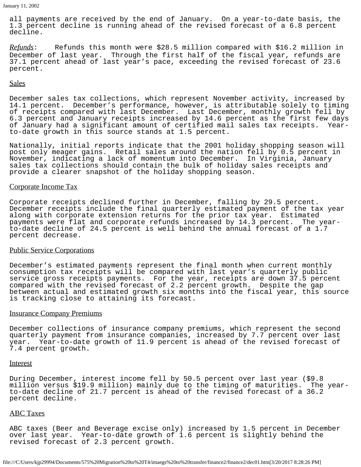all payments are received by the end of January. On a year-to-date basis, the 1.3 percent decline is running ahead of the revised forecast of a 6.8 percent decline.

*Refunds*: Refunds this month were \$28.5 million compared with \$16.2 million in December of last year. Through the first half of the fiscal year, refunds are 37.1 percent ahead of last year's pace, exceeding the revised forecast of 23.6 percent.

### **Sales**

December sales tax collections, which represent November activity, increased by 14.1 percent. December's performance, however, is attributable solely to timing of receipts compared with last December. Last December, monthly growth fell by 6.3 percent and January receipts increased by 14.6 percent as the first few days of January had a significant amount of certified mail sales tax receipts. Yearto-date growth in this source stands at 1.5 percent.

Nationally, initial reports indicate that the 2001 holiday shopping season will post only meager gains. Retail sales around the nation fell by 0.5 percent in November, indicating a lack of momentum into December. In Virginia, January sales tax collections should contain the bulk of holiday sales receipts and provide a clearer snapshot of the holiday shopping season.

#### Corporate Income Tax

Corporate receipts declined further in December, falling by 29.5 percent. December receipts include the final quarterly estimated payment of the tax year along with corporate extension returns for the prior tax year. Estimated payments were flat and corporate refunds increased by 14.3 percent. The yearto-date decline of 24.5 percent is well behind the annual forecast of a 1.7 percent decrease.

## Public Service Corporations

December's estimated payments represent the final month when current monthly consumption tax receipts will be compared with last year's quarterly public service gross receipts payments. For the year, receipts are down 37.5 percent compared with the revised forecast of 2.2 percent growth. Despite the gap between actual and estimated growth six months into the fiscal year, this source is tracking close to attaining its forecast.

#### Insurance Company Premiums

December collections of insurance company premiums, which represent the second quarterly payment from insurance companies, increased by 7.7 percent over last year. Year-to-date growth of 11.9 percent is ahead of the revised forecast of 7.4 percent growth.

### Interest

During December, interest income fell by 50.5 percent over last year (\$9.8 million versus \$19.9 million) mainly due to the timing of maturities. The yearto-date decline of 21.7 percent is ahead of the revised forecast of a 36.2 percent decline.

## ABC Taxes

ABC taxes (Beer and Beverage excise only) increased by 1.5 percent in December over last year. Year-to-date growth of 1.6 percent is slightly behind the revised forecast of 2.3 percent growth.